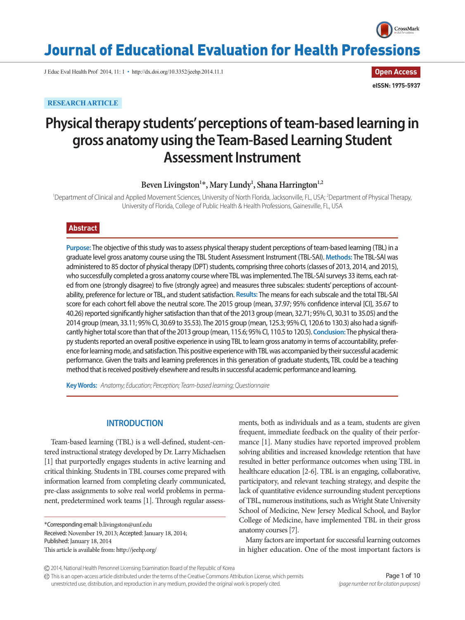

# Journal of Educational Evaluation for Health Professions

J Educ Eval Health Prof 2014, 11: 1 • http://dx.doi.org/10.3352/jeehp.2014.11.1

**RESEARCH ARTICLE**

**Open Access eISSN: 1975-5937**

# **Physical therapy students' perceptions of team-based learning in gross anatomy using the Team-Based Learning Student Assessment Instrument**

Beven Livingston<sup>1\*</sup>, Mary Lundy<sup>1</sup>, Shana Harrington<sup>1,2</sup>

<sup>1</sup>Department of Clinical and Applied Movement Sciences, University of North Florida, Jacksonville, FL, USA; <sup>2</sup>Department of Physical Therapy, University of Florida, College of Public Health & Health Professions, Gainesville, FL, USA

# **Abstract**

**Purpose:** The objective of this study was to assess physical therapy student perceptions of team-based learning (TBL) in a graduate level gross anatomy course using the TBL Student Assessment Instrument (TBL-SAI). **Methods:** The TBL-SAI was administered to 85 doctor of physical therapy (DPT) students, comprising three cohorts (classes of 2013, 2014, and 2015), who successfully completed a gross anatomy course where TBL was implemented. The TBL-SAI surveys 33 items, each rated from one (strongly disagree) to five (strongly agree) and measures three subscales: students' perceptions of accountability, preference for lecture or TBL, and student satisfaction. **Results:** The means for each subscale and the total TBL-SAI score for each cohort fell above the neutral score. The 2015 group (mean, 37.97; 95% confidence interval [CI], 35.67 to 40.26) reported significantly higher satisfaction than that of the 2013 group (mean, 32.71; 95% CI, 30.31 to 35.05) and the 2014 group (mean, 33.11; 95% CI, 30.69 to 35.53). The 2015 group (mean, 125.3; 95% CI, 120.6 to 130.3) also had a significantly higher total score than that of the 2013 group (mean, 115.6; 95% CI, 110.5 to 120.5). **Conclusion:** The physical therapy students reported an overall positive experience in using TBL to learn gross anatomy in terms of accountability, preference for learning mode, and satisfaction. This positive experience with TBL was accompanied by their successful academic performance. Given the traits and learning preferences in this generation of graduate students, TBL could be a teaching method that is received positively elsewhere and results in successful academic performance and learning.

**Key Words:** *Anatomy; Education; Perception; Team-based learning; Questionnaire* 

# **INTRODUCTION**

Team-based learning (TBL) is a well-defined, student-centered instructional strategy developed by Dr. Larry Michaelsen [1] that purportedly engages students in active learning and critical thinking. Students in TBL courses come prepared with information learned from completing clearly communicated, pre-class assignments to solve real world problems in permanent, predetermined work teams [1]. Through regular assess-

\*Corresponding email: b.livingston@unf.edu Received: November 19, 2013; Accepted: January 18, 2014; Published: January 18, 2014 This article is available from: http://jeehp.org/

ments, both as individuals and as a team, students are given frequent, immediate feedback on the quality of their performance [1]. Many studies have reported improved problem solving abilities and increased knowledge retention that have resulted in better performance outcomes when using TBL in healthcare education [2-6]. TBL is an engaging, collaborative, participatory, and relevant teaching strategy, and despite the lack of quantitative evidence surrounding student perceptions of TBL, numerous institutions, such as Wright State University School of Medicine, New Jersey Medical School, and Baylor College of Medicine, have implemented TBL in their gross anatomy courses [7].

Many factors are important for successful learning outcomes in higher education. One of the most important factors is

2014, National Health Personnel Licensing Examination Board of the Republic of Korea

This is an open-access article distributed under the terms of the Creative Commons Attribution License, which permits unrestricted use, distribution, and reproduction in any medium, provided the original work is properly cited.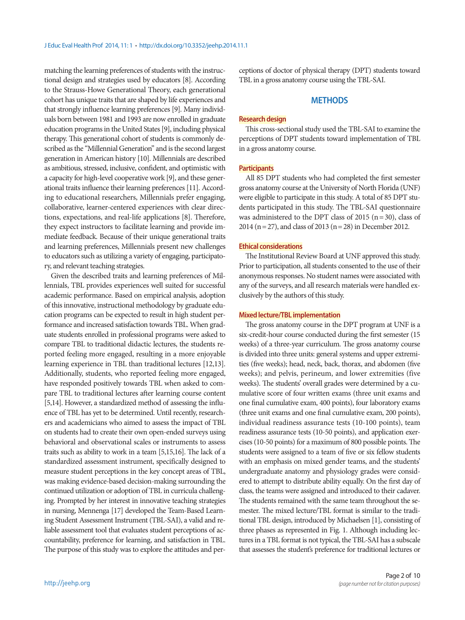matching the learning preferences of students with the instructional design and strategies used by educators [8]. According to the Strauss-Howe Generational Theory, each generational cohort has unique traits that are shaped by life experiences and that strongly influence learning preferences [9]. Many individuals born between 1981 and 1993 are now enrolled in graduate education programs in the United States [9], including physical therapy. This generational cohort of students is commonly described as the "Millennial Generation" and is the second largest generation in American history [10]. Millennials are described as ambitious, stressed, inclusive, confident, and optimistic with a capacity for high-level cooperative work [9], and these generational traits influence their learning preferences [11]. According to educational researchers, Millennials prefer engaging, collaborative, learner-centered experiences with clear directions, expectations, and real-life applications [8]. Therefore, they expect instructors to facilitate learning and provide immediate feedback. Because of their unique generational traits and learning preferences, Millennials present new challenges to educators such as utilizing a variety of engaging, participatory, and relevant teaching strategies.

Given the described traits and learning preferences of Millennials, TBL provides experiences well suited for successful academic performance. Based on empirical analysis, adoption of this innovative, instructional methodology by graduate education programs can be expected to result in high student performance and increased satisfaction towards TBL. When graduate students enrolled in professional programs were asked to compare TBL to traditional didactic lectures, the students reported feeling more engaged, resulting in a more enjoyable learning experience in TBL than traditional lectures [12,13]. Additionally, students, who reported feeling more engaged, have responded positively towards TBL when asked to compare TBL to traditional lectures after learning course content [5,14]. However, a standardized method of assessing the influence of TBL has yet to be determined. Until recently, researchers and academicians who aimed to assess the impact of TBL on students had to create their own open-ended surveys using behavioral and observational scales or instruments to assess traits such as ability to work in a team [5,15,16]. The lack of a standardized assessment instrument, specifically designed to measure student perceptions in the key concept areas of TBL, was making evidence-based decision-making surrounding the continued utilization or adoption of TBL in curricula challenging. Prompted by her interest in innovative teaching strategies in nursing, Mennenga [17] developed the Team-Based Learning Student Assessment Instrument (TBL-SAI), a valid and reliable assessment tool that evaluates student perceptions of accountability, preference for learning, and satisfaction in TBL. The purpose of this study was to explore the attitudes and perceptions of doctor of physical therapy (DPT) students toward TBL in a gross anatomy course using the TBL-SAI.

## **METHODS**

#### **Research design**

This cross-sectional study used the TBL-SAI to examine the perceptions of DPT students toward implementation of TBL in a gross anatomy course.

#### **Participants**

All 85 DPT students who had completed the first semester gross anatomy course at the University of North Florida (UNF) were eligible to participate in this study. A total of 85 DPT students participated in this study. The TBL-SAI questionnaire was administered to the DPT class of 2015 ( $n=30$ ), class of 2014 (n= 27), and class of 2013 (n= 28) in December 2012.

#### **Ethical considerations**

The Institutional Review Board at UNF approved this study. Prior to participation, all students consented to the use of their anonymous responses. No student names were associated with any of the surveys, and all research materials were handled exclusively by the authors of this study.

#### **Mixed lecture/TBL implementation**

The gross anatomy course in the DPT program at UNF is a six-credit-hour course conducted during the first semester (15 weeks) of a three-year curriculum. The gross anatomy course is divided into three units: general systems and upper extremities (five weeks); head, neck, back, thorax, and abdomen (five weeks); and pelvis, perineum, and lower extremities (five weeks). The students' overall grades were determined by a cumulative score of four written exams (three unit exams and one final cumulative exam, 400 points), four laboratory exams (three unit exams and one final cumulative exam, 200 points), individual readiness assurance tests (10-100 points), team readiness assurance tests (10-50 points), and application exercises (10-50 points) for a maximum of 800 possible points. The students were assigned to a team of five or six fellow students with an emphasis on mixed gender teams, and the students' undergraduate anatomy and physiology grades were considered to attempt to distribute ability equally. On the first day of class, the teams were assigned and introduced to their cadaver. The students remained with the same team throughout the semester. The mixed lecture/TBL format is similar to the traditional TBL design, introduced by Michaelsen [1], consisting of three phases as represented in Fig. 1. Although including lectures in a TBL format is not typical, the TBL-SAI has a subscale that assesses the student's preference for traditional lectures or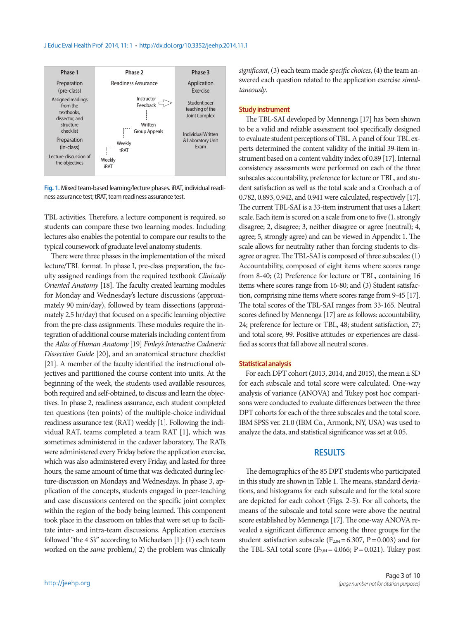#### J Educ Eval Health Prof 2014, 11: 1 • http://dx.doi.org/10.3352/jeehp.2014.11.1



**Fig. 1.** Mixed team-based learning/lecture phases. iRAT, individual readiness assurance test; tRAT, team readiness assurance test.

TBL activities. Therefore, a lecture component is required, so students can compare these two learning modes. Including lectures also enables the potential to compare our results to the typical coursework of graduate level anatomy students.

There were three phases in the implementation of the mixed lecture/TBL format. In phase I, pre-class preparation, the faculty assigned readings from the required textbook *Clinically Oriented Anatomy* [18]. The faculty created learning modules for Monday and Wednesday's lecture discussions (approximately 90 min/day), followed by team dissections (approximately 2.5 hr/day) that focused on a specific learning objective from the pre-class assignments. These modules require the integration of additional course materials including content from the *Atlas of Human Anatomy* [19] *Finley's Interactive Cadaveric Dissection Guide* [20], and an anatomical structure checklist [21]. A member of the faculty identified the instructional objectives and partitioned the course content into units. At the beginning of the week, the students used available resources, both required and self-obtained, to discuss and learn the objectives. In phase 2, readiness assurance, each student completed ten questions (ten points) of the multiple-choice individual readiness assurance test (RAT) weekly [1]. Following the individual RAT, teams completed a team RAT [1], which was sometimes administered in the cadaver laboratory. The RATs were administered every Friday before the application exercise, which was also administered every Friday, and lasted for three hours, the same amount of time that was dedicated during lecture-discussion on Mondays and Wednesdays. In phase 3, application of the concepts, students engaged in peer-teaching and case discussions centered on the specific joint complex within the region of the body being learned. This component took place in the classroom on tables that were set up to facilitate inter- and intra-team discussions. Application exercises followed "the 4 *S's*" according to Michaelsen [1]: (1) each team worked on the *same* problem,( 2) the problem was clinically

*significant*, (3) each team made *specific choices*, (4) the team answered each question related to the application exercise *simultaneously*.

#### **Study instrument**

The TBL-SAI developed by Mennenga [17] has been shown to be a valid and reliable assessment tool specifically designed to evaluate student perceptions of TBL. A panel of four TBL experts determined the content validity of the initial 39-item instrument based on a content validity index of 0.89 [17]. Internal consistency assessments were performed on each of the three subscales accountability, preference for lecture or TBL, and student satisfaction as well as the total scale and a Cronbach α of 0.782, 0.893, 0.942, and 0.941 were calculated, respectively [17]. The current TBL-SAI is a 33-item instrument that uses a Likert scale. Each item is scored on a scale from one to five (1, strongly disagree; 2, disagree; 3, neither disagree or agree (neutral); 4, agree; 5, strongly agree) and can be viewed in Appendix 1. The scale allows for neutrality rather than forcing students to disagree or agree. The TBL-SAI is composed of three subscales: (1) Accountability, composed of eight items where scores range from 8-40; (2) Preference for lecture or TBL, containing 16 items where scores range from 16-80; and (3) Student satisfaction, comprising nine items where scores range from 9-45 [17]. The total scores of the TBL-SAI ranges from 33-165. Neutral scores defined by Mennenga [17] are as follows: accountability, 24; preference for lecture or TBL, 48; student satisfaction, 27; and total score, 99. Positive attitudes or experiences are classified as scores that fall above all neutral scores.

### **Statistical analysis**

For each DPT cohort (2013, 2014, and 2015), the mean  $\pm$  SD for each subscale and total score were calculated. One-way analysis of variance (ANOVA) and Tukey post hoc comparisons were conducted to evaluate differences between the three DPT cohorts for each of the three subscales and the total score. IBM SPSS ver. 21.0 (IBM Co., Armonk, NY, USA) was used to analyze the data, and statistical significance was set at 0.05.

### **RESULTS**

The demographics of the 85 DPT students who participated in this study are shown in Table 1. The means, standard deviations, and histograms for each subscale and for the total score are depicted for each cohort (Figs. 2-5). For all cohorts, the means of the subscale and total score were above the neutral score established by Mennenga [17]. The one-way ANOVA revealed a significant difference among the three groups for the student satisfaction subscale ( $F_{2,84}$  = 6.307, P = 0.003) and for the TBL-SAI total score ( $F_{2,84}$  = 4.066; P = 0.021). Tukey post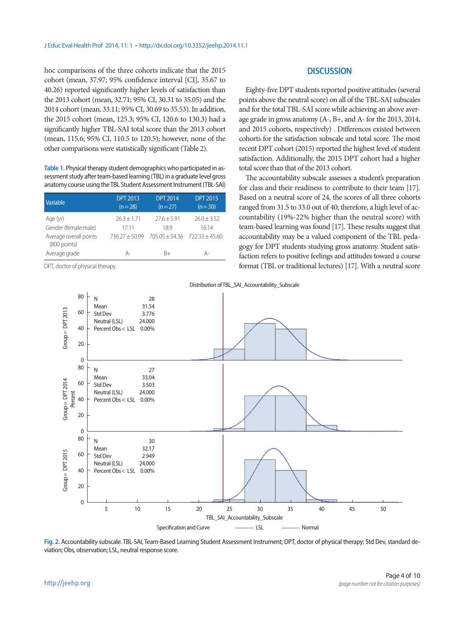hoc comparisons of the three cohorts indicate that the 2015 cohort (mean, 37.97; 95% confidence interval [CI], 35.67 to 40.26) reported significantly higher levels of satisfaction than the 2013 cohort (mean, 32.71; 95% CI, 30.31 to 35.05) and the 2014 cohort (mean, 33.11; 95% CI, 30.69 to 35.53). In addition, the 2015 cohort (mean, 125.3; 95% CI, 120.6 to 130.3) had a significantly higher TBL-SAI total score than the 2013 cohort (mean, 115.6; 95% CI, 110.5 to 120.5); however, none of the other comparisons were statistically significant (Table 2).

**Table 1.** Physical therapy student demographics who participated in assessment study after team-based learning (TBL) in a graduate level gross anatomy course using the TBL Student Assessment Instrument (TBL-SAI)

| Variable                                 | <b>DPT 2013</b><br>$(n=28)$ | <b>DPT 2014</b><br>$(n=27)$       | <b>DPT 2015</b><br>$(n=30)$ |  |
|------------------------------------------|-----------------------------|-----------------------------------|-----------------------------|--|
| Age (yr)                                 | $26.3 + 1.71$               | $27.6 + 5.91$                     | $26.0 + 3.52$               |  |
| Gender (female:male)                     | 17.11                       | $18-9$                            | 16.14                       |  |
| Average overall points<br>$(800$ points) | $736.27 + 50.99$            | $705.05 + 54.36$ $722.33 + 45.60$ |                             |  |
| Average grade                            | А-                          | R+                                | Д.                          |  |

DPT, doctor of physical therapy.

# **DISCUSSION**

Eighty-five DPT students reported positive attitudes (several points above the neutral score) on all of the TBL-SAI subscales and for the total TBL-SAI score while achieving an above average grade in gross anatomy (A-, B+, and A- for the 2013, 2014, and 2015 cohorts, respectively) . Differences existed between cohorts for the satisfaction subscale and total score. The most recent DPT cohort (2015) reported the highest level of student satisfaction. Additionally, the 2015 DPT cohort had a higher total score than that of the 2013 cohort.

The accountability subscale assesses a student's preparation for class and their readiness to contribute to their team [17]. Based on a neutral score of 24, the scores of all three cohorts ranged from 31.5 to 33.0 out of 40; therefore, a high level of accountability (19%-22% higher than the neutral score) with team-based learning was found [17]. These results suggest that accountability may be a valued component of the TBL pedagogy for DPT students studying gross anatomy. Student satisfaction refers to positive feelings and attitudes toward a course format (TBL or traditional lectures) [17]. With a neutral score



Distribution of TBL\_SAI\_Accountability\_Subscale

**Fig. 2.** Accountability subscale. TBL-SAI, Team-Based Learning Student Assessment Instrument; DPT, doctor of physical therapy; Std Dev, standard deviation; Obs, observation; LSL, neutral response score.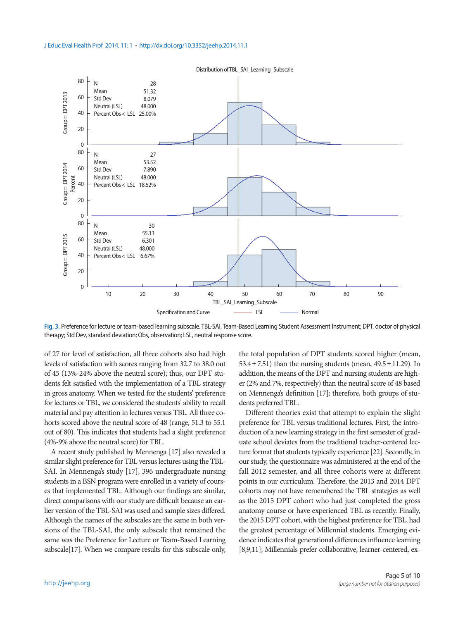

**Fig. 3.** Preference for lecture or team-based learning subscale. TBL-SAI, Team-Based Learning Student Assessment Instrument; DPT, doctor of physical therapy; Std Dev, standard deviation; Obs, observation; LSL, neutral response score.

of 27 for level of satisfaction, all three cohorts also had high levels of satisfaction with scores ranging from 32.7 to 38.0 out of 45 (13%-24% above the neutral score); thus, our DPT students felt satisfied with the implementation of a TBL strategy in gross anatomy. When we tested for the students' preference for lectures or TBL, we considered the students' ability to recall material and pay attention in lectures versus TBL. All three cohorts scored above the neutral score of 48 (range, 51.3 to 55.1 out of 80). This indicates that students had a slight preference (4%-9% above the neutral score) for TBL.

A recent study published by Mennenga [17] also revealed a similar slight preference for TBL versus lectures using the TBL-SAI. In Mennenga's study [17], 396 undergraduate nursing students in a BSN program were enrolled in a variety of courses that implemented TBL. Although our findings are similar, direct comparisons with our study are difficult because an earlier version of the TBL-SAI was used and sample sizes differed. Although the names of the subscales are the same in both versions of the TBL-SAI, the only subscale that remained the same was the Preference for Lecture or Team-Based Learning subscale[17]. When we compare results for this subscale only,

the total population of DPT students scored higher (mean, 53.4 $\pm$ 7.51) than the nursing students (mean, 49.5 $\pm$ 11.29). In addition, the means of the DPT and nursing students are higher (2% and 7%, respectively) than the neutral score of 48 based on Mennenga's definition [17]; therefore, both groups of students preferred TBL.

Different theories exist that attempt to explain the slight preference for TBL versus traditional lectures. First, the introduction of a new learning strategy in the first semester of graduate school deviates from the traditional teacher-centered lecture format that students typically experience [22]. Secondly, in our study, the questionnaire was administered at the end of the fall 2012 semester, and all three cohorts were at different points in our curriculum. Therefore, the 2013 and 2014 DPT cohorts may not have remembered the TBL strategies as well as the 2015 DPT cohort who had just completed the gross anatomy course or have experienced TBL as recently. Finally, the 2015 DPT cohort, with the highest preference for TBL, had the greatest percentage of Millennial students. Emerging evidence indicates that generational differences influence learning [8,9,11]; Millennials prefer collaborative, learner-centered, ex-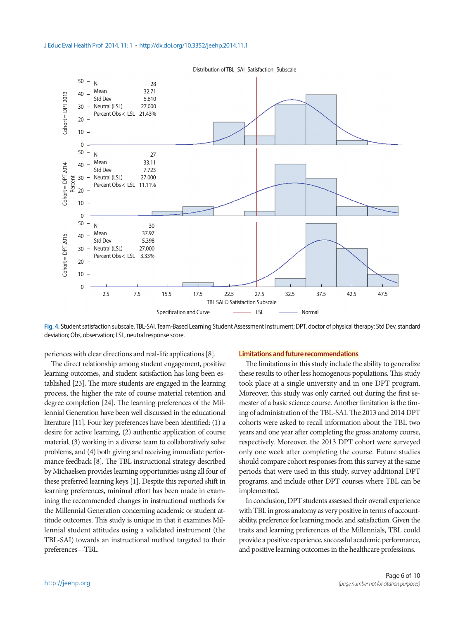



**Fig. 4.** Student satisfaction subscale. TBL-SAI, Team-Based Learning Student Assessment Instrument; DPT, doctor of physical therapy; Std Dev, standard deviation; Obs, observation; LSL, neutral response score.

periences with clear directions and real-life applications [8].

The direct relationship among student engagement, positive learning outcomes, and student satisfaction has long been established [23]. The more students are engaged in the learning process, the higher the rate of course material retention and degree completion [24]. The learning preferences of the Millennial Generation have been well discussed in the educational literature [11]. Four key preferences have been identified: (1) a desire for active learning, (2) authentic application of course material, (3) working in a diverse team to collaboratively solve problems, and (4) both giving and receiving immediate performance feedback [8]. The TBL instructional strategy described by Michaelsen provides learning opportunities using all four of these preferred learning keys [1]. Despite this reported shift in learning preferences, minimal effort has been made in examining the recommended changes in instructional methods for the Millennial Generation concerning academic or student attitude outcomes. This study is unique in that it examines Millennial student attitudes using a validated instrument (the TBL-SAI) towards an instructional method targeted to their preferences—TBL.

#### **Limitations and future recommendations**

The limitations in this study include the ability to generalize these results to other less homogenous populations. This study took place at a single university and in one DPT program. Moreover, this study was only carried out during the first semester of a basic science course. Another limitation is the timing of administration of the TBL-SAI. The 2013 and 2014 DPT cohorts were asked to recall information about the TBL two years and one year after completing the gross anatomy course, respectively. Moreover, the 2013 DPT cohort were surveyed only one week after completing the course. Future studies should compare cohort responses from this survey at the same periods that were used in this study, survey additional DPT programs, and include other DPT courses where TBL can be implemented.

In conclusion, DPT students assessed their overall experience with TBL in gross anatomy as very positive in terms of accountability, preference for learning mode, and satisfaction. Given the traits and learning preferences of the Millennials, TBL could provide a positive experience, successful academic performance, and positive learning outcomes in the healthcare professions.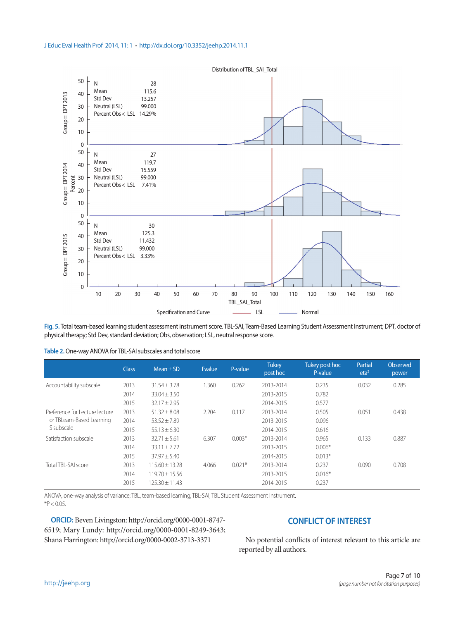

**Fig. 5.** Total team-based learning student assessment instrument score. TBL-SAI, Team-Based Learning Student Assessment Instrument; DPT, doctor of physical therapy; Std Dev, standard deviation; Obs, observation; LSL, neutral response score.

|                                        | <b>Class</b> | $Mean \pm SD$      | <b>Fvalue</b> | P-value  | <b>Tukey</b><br>post hoc | Tukey post hoc<br>P-value | Partial<br>eta <sup>2</sup> | Observed<br>power |
|----------------------------------------|--------------|--------------------|---------------|----------|--------------------------|---------------------------|-----------------------------|-------------------|
| Accountability subscale                | 2013         | $31.54 + 3.78$     | 1.360         | 0.262    | 2013-2014                | 0.235                     | 0.032                       | 0.285             |
|                                        | 2014         | $33.04 \pm 3.50$   |               |          | 2013-2015                | 0.782                     |                             |                   |
|                                        | 2015         | $32.17 \pm 2.95$   |               |          | 2014-2015                | 0.577                     |                             |                   |
| Preference for Lecture lecture         | 2013         | $51.32 \pm 8.08$   | 2.204         | 0.117    | 2013-2014                | 0.505                     | 0.051                       | 0.438             |
| or TBLeam-Based Learning<br>S subscale | 2014         | $53.52 + 7.89$     |               |          | 2013-2015                | 0.096                     |                             |                   |
|                                        | 2015         | $55.13 + 6.30$     |               |          | 2014-2015                | 0.616                     |                             |                   |
| Satisfaction subscale                  | 2013         | $32.71 \pm 5.61$   | 6.307         | $0.003*$ | 2013-2014                | 0.965                     | 0.133                       | 0.887             |
|                                        | 2014         | $33.11 \pm 7.72$   |               |          | 2013-2015                | $0.006*$                  |                             |                   |
|                                        | 2015         | $37.97 + 5.40$     |               |          | 2014-2015                | $0.013*$                  |                             |                   |
| Total TBI-SAI score                    | 2013         | $115.60 \pm 13.28$ | 4.066         | $0.021*$ | 2013-2014                | 0.237                     | 0.090                       | 0.708             |
|                                        | 2014         | $119.70 \pm 15.56$ |               |          | 2013-2015                | $0.016*$                  |                             |                   |
|                                        | 2015         | $125.30 + 11.43$   |               |          | 2014-2015                | 0.237                     |                             |                   |

ANOVA, one-way analysis of variance; TBL, team-based learning; TBL-SAI, TBL Student Assessment Instrument.  $*P < 0.05$ .

**ORCID:** Beven Livingston: http://orcid.org/0000-0001-8747- 6519; Mary Lundy: http://orcid.org/0000-0001-8249-3643; Shana Harrington: http://orcid.org/0000-0002-3713-3371

# **CONFLICT OF INTEREST**

No potential conflicts of interest relevant to this article are reported by all authors.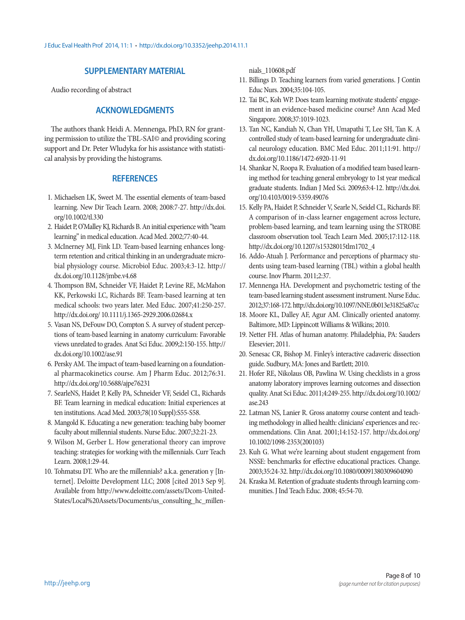# **SUPPLEMENTARY MATERIAL**

Audio recording of abstract

# **ACKNOWLEDGMENTS**

The authors thank Heidi A. Mennenga, PhD, RN for granting permission to utilize the TBL-SAI© and providing scoring support and Dr. Peter Wludyka for his assistance with statistical analysis by providing the histograms.

## **REFERENCES**

- 1. Michaelsen LK, Sweet M. The essential elements of team-based learning. New Dir Teach Learn. 2008; 2008:7-27. http://dx.doi. org/10.1002/tl.330
- 2. Haidet P, O'Malley KJ, Richards B. An initial experience with "team learning" in medical education. Acad Med. 2002;77:40-44.
- 3. McInerney MJ, Fink LD. Team-based learning enhances longterm retention and critical thinking in an undergraduate microbial physiology course. Microbiol Educ. 2003;4:3-12. http:// dx.doi.org/10.1128/jmbe.v4.68
- 4. Thompson BM, Schneider VF, Haidet P, Levine RE, McMahon KK, Perkowski LC, Richards BF. Team-based learning at ten medical schools: two years later. Med Educ. 2007;41:250-257. http://dx.doi.org/ 10.1111/j.1365-2929.2006.02684.x
- 5. Vasan NS, DeFouw DO, Compton S. A survey of student perceptions of team-based learning in anatomy curriculum: Favorable views unrelated to grades. Anat Sci Educ. 2009;2:150-155. http:// dx.doi.org/10.1002/ase.91
- 6. Persky AM. The impact of team-based learning on a foundational pharmacokinetics course. Am J Pharm Educ. 2012;76:31. http://dx.doi.org/10.5688/ajpe76231
- 7. SearleNS, Haidet P, Kelly PA, Schneider VF, Seidel CL, Richards BF. Team learning in medical education: Initial experiences at ten institutions. Acad Med. 2003;78(10 Suppl):S55-S58.
- 8. Mangold K. Educating a new generation: teaching baby boomer faculty about millennial students. Nurse Educ. 2007;32:21-23.
- 9. Wilson M, Gerber L. How generational theory can improve teaching: strategies for working with the millennials. Curr Teach Learn. 2008;1:29-44.
- 10. Tohmatsu DT. Who are the millennials? a.k.a. generation y [Internet]. Deloitte Development LLC; 2008 [cited 2013 Sep 9]. Available from http://www.deloitte.com/assets/Dcom-United-States/Local%20Assets/Documents/us\_consulting\_hc\_millen-

nials\_110608.pdf

- 11. Billings D. Teaching learners from varied generations. J Contin Educ Nurs. 2004;35:104-105.
- 12. Tai BC, Koh WP. Does team learning motivate students' engagement in an evidence-based medicine course? Ann Acad Med Singapore. 2008;37:1019-1023.
- 13. Tan NC, Kandiah N, Chan YH, Umapathi T, Lee SH, Tan K. A controlled study of team-based learning for undergraduate clinical neurology education. BMC Med Educ. 2011;11:91. http:// dx.doi.org/10.1186/1472-6920-11-91
- 14. Shankar N, Roopa R. Evaluation of a modified team based learning method for teaching general embryology to 1st year medical graduate students. Indian J Med Sci. 2009;63:4-12. http://dx.doi. org/10.4103/0019-5359.49076
- 15. Kelly PA, Haidet P, Schneider V, Searle N, Seidel CL, Richards BF. A comparison of in-class learner engagement across lecture, problem-based learning, and team learning using the STROBE classroom observation tool. Teach Learn Med. 2005;17:112-118. http://dx.doi.org/10.1207/s15328015tlm1702\_4
- 16. Addo-Atuah J. Performance and perceptions of pharmacy students using team-based learning (TBL) within a global health course. Inov Pharm. 2011;2:37.
- 17. Mennenga HA. Development and psychometric testing of the team-based learning student assessment instrument. Nurse Educ. 2012;37:168-172. http://dx.doi.org/10.1097/NNE.0b013e31825a87cc
- 18. Moore KL, Dalley AF, Agur AM. Clinically oriented anatomy. Baltimore, MD: Lippincott Williams & Wilkins; 2010.
- 19. Netter FH. Atlas of human anatomy. Philadelphia, PA: Sauders Elesevier; 2011.
- 20. Senesac CR, Bishop M. Finley's interactive cadaveric dissection guide. Sudbury, MA: Jones and Bartlett; 2010.
- 21. Hofer RE, Nikolaus OB, Pawlina W. Using checklists in a gross anatomy laboratory improves learning outcomes and dissection quality. Anat Sci Educ. 2011;4:249-255. http://dx.doi.org/10.1002/ ase.243
- 22. Latman NS, Lanier R. Gross anatomy course content and teaching methodology in allied health: clinicians' experiences and recommendations. Clin Anat. 2001;14:152-157. http://dx.doi.org/ 10.1002/1098-2353(200103)
- 23. Kuh G. What we're learning about student engagement from NSSE: benchmarks for effective educational practices. Change. 2003;35:24-32. http://dx.doi.org/10.1080/00091380309604090
- 24. Kraska M. Retention of graduate students through learning communities. J Ind Teach Educ. 2008; 45:54-70.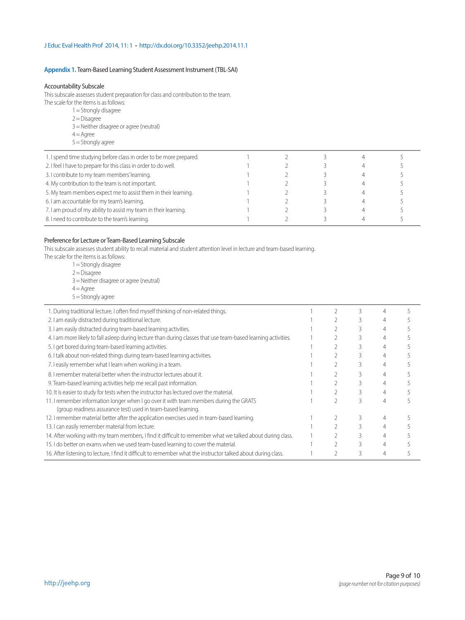## **Appendix 1.** Team-Based Learning Student Assessment Instrument (TBL-SAI)

#### Accountability Subscale

This subscale assesses student preparation for class and contribution to the team.

- The scale for the items is as follows:
	- 1 = Strongly disagree
	- $2 = Disagree$
	- 3 = Neither disagree or agree (neutral)
	- $4 = A$ gree  $5 =$ Strongly agree
- 1. I spend time studying before class in order to be more prepared. <br>
1 3 3 4 5 2. I feel I have to prepare for this class in order to do well. 1 2 3 3 4 5 3. I contribute to my team members' learning. 1 2 3 4 5 4. My contribution to the team is not important. The matrix of the team is not important. The matrix of the team is not important. 5. My team members expect me to assist them in their learning. 1 1 3 3 4 5 6. I am accountable for my team's learning. The contract of the contract of the contract of the contract of the contract of the contract of the contract of the contract of the contract of the contract of the contract of th 7. I am proud of my ability to assist my team in their learning. <br>
1 2 3 4 5 8. I need to contribute to the team's learning. The Contribute to the team's learning. The Contribute to the team's learning.

#### Preference for Lecture or Team-Based Learning Subscale

This subscale assesses student ability to recall material and student attention level in lecture and team-based learning.

- The scale for the items is as follows:
	- 1 = Strongly disagree
	- $2$  = Disagree
	- 3 = Neither disagree or agree (neutral)
	- $4 =$ Agree
	- $5 =$ Strongly agree

| 1. During traditional lecture, I often find myself thinking of non-related things.                                                                      |  |  |  |
|---------------------------------------------------------------------------------------------------------------------------------------------------------|--|--|--|
| 2. I am easily distracted during traditional lecture.                                                                                                   |  |  |  |
| 3. I am easily distracted during team-based learning activities.                                                                                        |  |  |  |
| 4. I am more likely to fall asleep during lecture than during classes that use team-based learning activities.                                          |  |  |  |
| 5. I get bored during team-based learning activities.                                                                                                   |  |  |  |
| 6. I talk about non-related things during team-based learning activities.                                                                               |  |  |  |
| 7. I easily remember what I learn when working in a team.                                                                                               |  |  |  |
| 8. I remember material better when the instructor lectures about it.                                                                                    |  |  |  |
| 9. Team-based learning activities help me recall past information.                                                                                      |  |  |  |
| 10. It is easier to study for tests when the instructor has lectured over the material.                                                                 |  |  |  |
| 11. I remember information longer when I go over it with team members during the GRATS<br>(group readiness assurance test) used in team-based learning. |  |  |  |
| 12. I remember material better after the application exercises used in team-based learning.                                                             |  |  |  |
| 13. I can easily remember material from lecture.                                                                                                        |  |  |  |
| 14. After working with my team members, I find it difficult to remember what we talked about during class.                                              |  |  |  |
| 15. I do better on exams when we used team-based learning to cover the material.                                                                        |  |  |  |
| 16. After listening to lecture, I find it difficult to remember what the instructor talked about during class.                                          |  |  |  |
|                                                                                                                                                         |  |  |  |